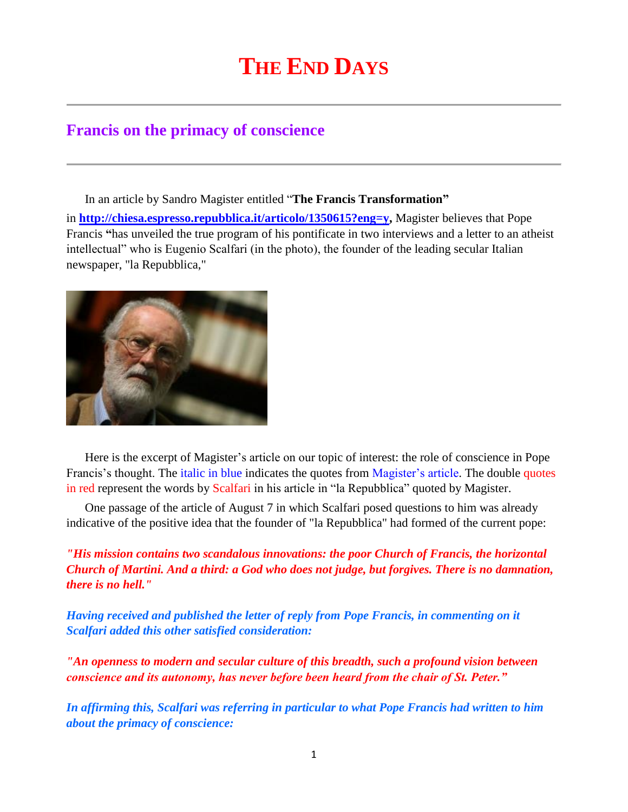## **THE END DAYS**

## **Francis on the primacy of conscience**

In an article by Sandro Magister entitled "**The Francis Transformation"** in **[http://chiesa.espresso.repubblica.it/articolo/1350615?eng=y,](http://chiesa.espresso.repubblica.it/articolo/1350615?eng=y)** Magister believes that Pope Francis **"**has unveiled the true program of his pontificate in two interviews and a letter to an atheist intellectual" who is Eugenio Scalfari (in the photo), the founder of the leading secular Italian newspaper, "la Repubblica,"



Here is the excerpt of Magister's article on our topic of interest: the role of conscience in Pope Francis's thought. The italic in blue indicates the quotes from Magister's article. The double quotes in red represent the words by Scalfari in his article in "la Repubblica" quoted by Magister.

One passage of the article of August 7 in which Scalfari posed questions to him was already indicative of the positive idea that the founder of "la Repubblica" had formed of the current pope:

*"His mission contains two scandalous innovations: the poor Church of Francis, the horizontal Church of Martini. And a third: a God who does not judge, but forgives. There is no damnation, there is no hell."*

*Having received and published the letter of reply from Pope Francis, in commenting on it Scalfari added this other satisfied consideration:*

*"An openness to modern and secular culture of this breadth, such a profound vision between conscience and its autonomy, has never before been heard from the chair of St. Peter."*

*In affirming this, Scalfari was referring in particular to what Pope Francis had written to him about the primacy of conscience:*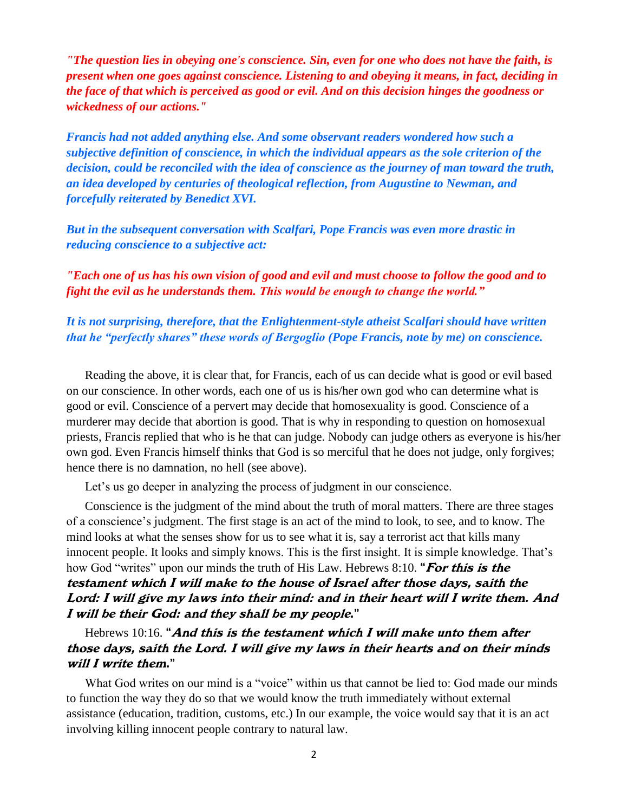*"The question lies in obeying one's conscience. Sin, even for one who does not have the faith, is present when one goes against conscience. Listening to and obeying it means, in fact, deciding in the face of that which is perceived as good or evil. And on this decision hinges the goodness or wickedness of our actions."*

*Francis had not added anything else. And some observant readers wondered how such a subjective definition of conscience, in which the individual appears as the sole criterion of the decision, could be reconciled with the idea of conscience as the journey of man toward the truth, an idea developed by centuries of theological reflection, from Augustine to Newman, and forcefully reiterated by Benedict XVI.*

*But in the subsequent conversation with Scalfari, Pope Francis was even more drastic in reducing conscience to a subjective act:*

*"Each one of us has his own vision of good and evil and must choose to follow the good and to fight the evil as he understands them. This would be enough to change the world."*

*It is not surprising, therefore, that the Enlightenment-style atheist Scalfari should have written that he "perfectly shares" these words of Bergoglio (Pope Francis, note by me) on conscience.*

Reading the above, it is clear that, for Francis, each of us can decide what is good or evil based on our conscience. In other words, each one of us is his/her own god who can determine what is good or evil. Conscience of a pervert may decide that homosexuality is good. Conscience of a murderer may decide that abortion is good. That is why in responding to question on homosexual priests, Francis replied that who is he that can judge. Nobody can judge others as everyone is his/her own god. Even Francis himself thinks that God is so merciful that he does not judge, only forgives; hence there is no damnation, no hell (see above).

Let's us go deeper in analyzing the process of judgment in our conscience.

Conscience is the judgment of the mind about the truth of moral matters. There are three stages of a conscience's judgment. The first stage is an act of the mind to look, to see, and to know. The mind looks at what the senses show for us to see what it is, say a terrorist act that kills many innocent people. It looks and simply knows. This is the first insight. It is simple knowledge. That's how God "writes" upon our minds the truth of His Law. Hebrews 8:10. "For this is the testament which I will make to the house of Israel after those days, saith the Lord: I will give my laws into their mind: and in their heart will I write them. And I will be their God: and they shall be my people."

Hebrews 10:16. "And this is the testament which  $I$  will make unto them after those days, saith the Lord. I will give my laws in their hearts and on their minds will I write them."

What God writes on our mind is a "voice" within us that cannot be lied to: God made our minds to function the way they do so that we would know the truth immediately without external assistance (education, tradition, customs, etc.) In our example, the voice would say that it is an act involving killing innocent people contrary to natural law.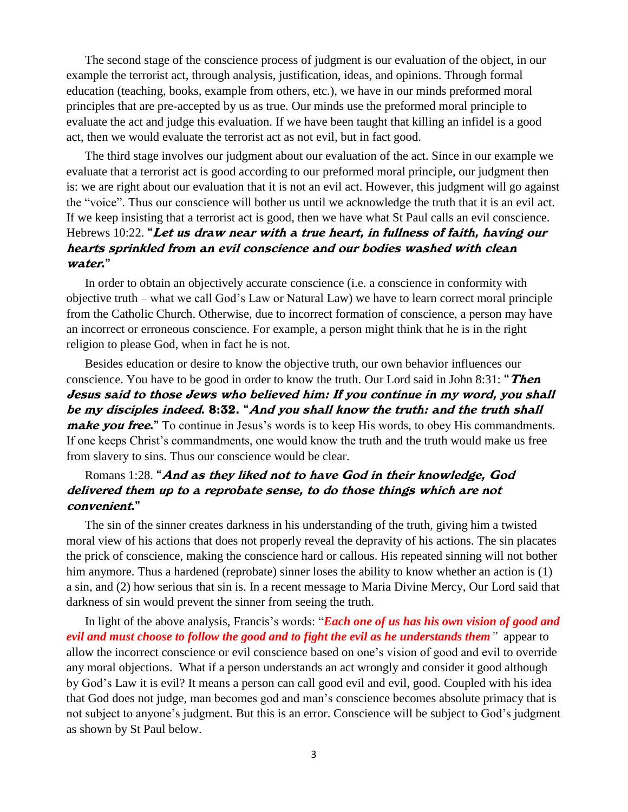The second stage of the conscience process of judgment is our evaluation of the object, in our example the terrorist act, through analysis, justification, ideas, and opinions. Through formal education (teaching, books, example from others, etc.), we have in our minds preformed moral principles that are pre-accepted by us as true. Our minds use the preformed moral principle to evaluate the act and judge this evaluation. If we have been taught that killing an infidel is a good act, then we would evaluate the terrorist act as not evil, but in fact good.

The third stage involves our judgment about our evaluation of the act. Since in our example we evaluate that a terrorist act is good according to our preformed moral principle, our judgment then is: we are right about our evaluation that it is not an evil act. However, this judgment will go against the "voice". Thus our conscience will bother us until we acknowledge the truth that it is an evil act. If we keep insisting that a terrorist act is good, then we have what St Paul calls an evil conscience. Hebrews 10:22. "Let us draw near with a true heart, in fullness of faith, having our hearts sprinkled from an evil conscience and our bodies washed with clean water."

In order to obtain an objectively accurate conscience (i.e. a conscience in conformity with objective truth – what we call God's Law or Natural Law) we have to learn correct moral principle from the Catholic Church. Otherwise, due to incorrect formation of conscience, a person may have an incorrect or erroneous conscience. For example, a person might think that he is in the right religion to please God, when in fact he is not.

Besides education or desire to know the objective truth, our own behavior influences our conscience. You have to be good in order to know the truth. Our Lord said in John 8:31: "Then Jesus said to those Jews who believed him: If you continue in my word, you shall be my disciples indeed. 8:32. "And you shall know the truth: and the truth shall *make you free.*" To continue in Jesus's words is to keep His words, to obey His commandments. If one keeps Christ's commandments, one would know the truth and the truth would make us free from slavery to sins. Thus our conscience would be clear.

## Romans 1:28. "And as they liked not to have God in their knowledge, God delivered them up to a reprobate sense, to do those things which are not convenient."

The sin of the sinner creates darkness in his understanding of the truth, giving him a twisted moral view of his actions that does not properly reveal the depravity of his actions. The sin placates the prick of conscience, making the conscience hard or callous. His repeated sinning will not bother him anymore. Thus a hardened (reprobate) sinner loses the ability to know whether an action is (1) a sin, and (2) how serious that sin is. In a recent message to Maria Divine Mercy, Our Lord said that darkness of sin would prevent the sinner from seeing the truth.

In light of the above analysis, Francis's words: "*Each one of us has his own vision of good and evil and must choose to follow the good and to fight the evil as he understands them"* appear to allow the incorrect conscience or evil conscience based on one's vision of good and evil to override any moral objections. What if a person understands an act wrongly and consider it good although by God's Law it is evil? It means a person can call good evil and evil, good. Coupled with his idea that God does not judge, man becomes god and man's conscience becomes absolute primacy that is not subject to anyone's judgment. But this is an error. Conscience will be subject to God's judgment as shown by St Paul below.